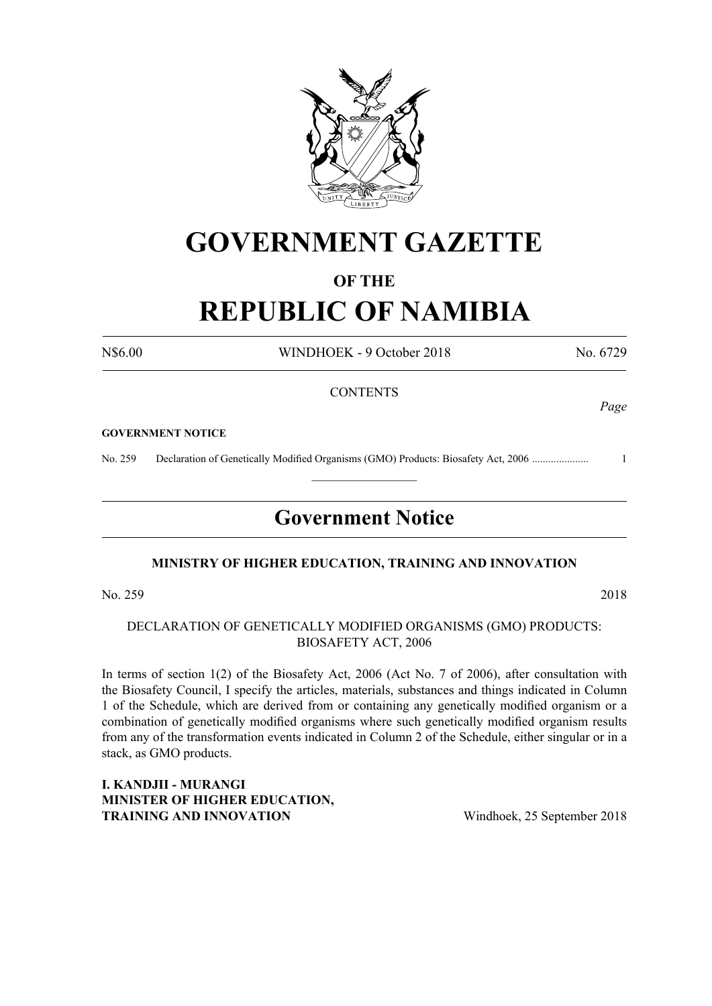

# **GOVERNMENT GAZETTE**

# **OF THE**

# **REPUBLIC OF NAMIBIA**

N\$6.00 WINDHOEK - 9 October 2018 No. 6729

*Page*

### **CONTENTS**

#### **GOVERNMENT NOTICE**

No. 259 Declaration of Genetically Modified Organisms (GMO) Products: Biosafety Act, 2006 ..................... 1

# **Government Notice**

 $\frac{1}{2}$ 

### **MINISTRY OF HIGHER EDUCATION, TRAINING AND INNOVATION**

No. 259 2018

## DECLARATION OF Genetically Modified Organisms (GMO) PRODUCTS: BIOSAFETY ACT, 2006

In terms of section 1(2) of the Biosafety Act, 2006 (Act No. 7 of 2006), after consultation with the Biosafety Council, I specify the articles, materials, substances and things indicated in Column 1 of the Schedule, which are derived from or containing any genetically modified organism or a combination of genetically modified organisms where such genetically modified organism results from any of the transformation events indicated in Column 2 of the Schedule, either singular or in a stack, as GMO products.

**I. KANDJII - MURANGI MINISTER OF HIGHER EDUCATION, TRAINING AND INNOVATION** Windhoek, 25 September 2018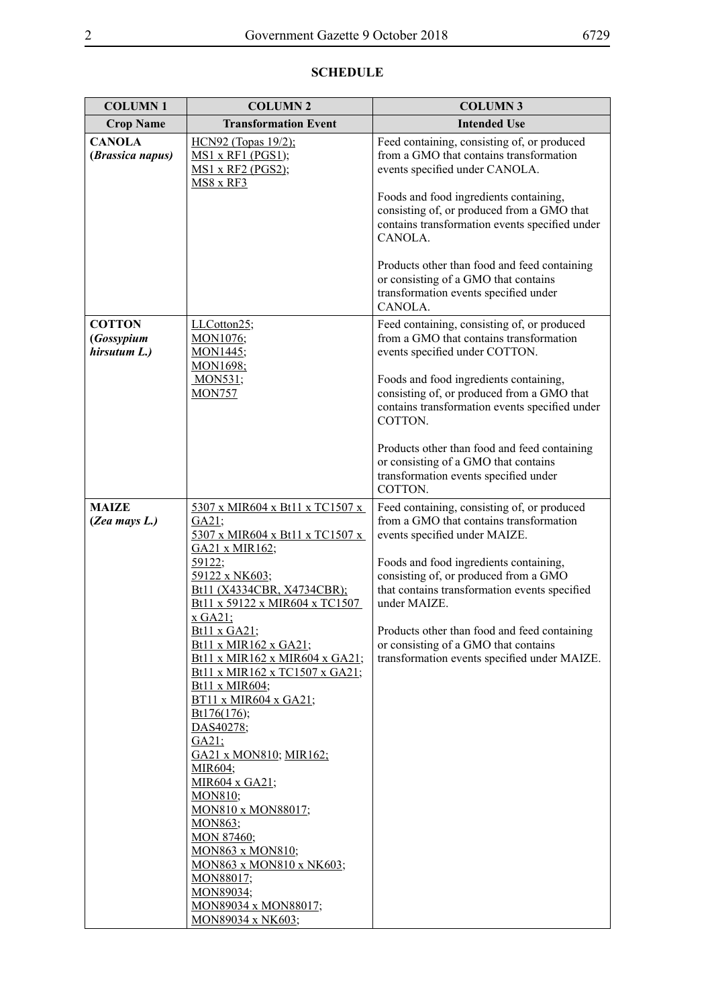| <b>COLUMN1</b>                              | <b>COLUMN 2</b>                                                                                                                                                                                                                                                                                                                                                                                                                                                                                                                                                                                                                                                                        | <b>COLUMN 3</b>                                                                                                                                                                                                                                                                                                                                                                                                     |
|---------------------------------------------|----------------------------------------------------------------------------------------------------------------------------------------------------------------------------------------------------------------------------------------------------------------------------------------------------------------------------------------------------------------------------------------------------------------------------------------------------------------------------------------------------------------------------------------------------------------------------------------------------------------------------------------------------------------------------------------|---------------------------------------------------------------------------------------------------------------------------------------------------------------------------------------------------------------------------------------------------------------------------------------------------------------------------------------------------------------------------------------------------------------------|
| <b>Crop Name</b>                            | <b>Transformation Event</b>                                                                                                                                                                                                                                                                                                                                                                                                                                                                                                                                                                                                                                                            | <b>Intended Use</b>                                                                                                                                                                                                                                                                                                                                                                                                 |
| <b>CANOLA</b><br>(Brassica napus)           | <u>HCN92 (Topas 19/2);</u><br><b>MS1 x RF1 (PGS1);</b><br>MS1 x RF2 (PGS2);<br><b>MS8 x RF3</b>                                                                                                                                                                                                                                                                                                                                                                                                                                                                                                                                                                                        | Feed containing, consisting of, or produced<br>from a GMO that contains transformation<br>events specified under CANOLA.<br>Foods and food ingredients containing,<br>consisting of, or produced from a GMO that<br>contains transformation events specified under<br>CANOLA.<br>Products other than food and feed containing<br>or consisting of a GMO that contains<br>transformation events specified under      |
| <b>COTTON</b><br>(Gossypium<br>hirsutum L.) | LLCotton25;<br>MON1076;<br>MON1445;<br>MON1698;                                                                                                                                                                                                                                                                                                                                                                                                                                                                                                                                                                                                                                        | CANOLA.<br>Feed containing, consisting of, or produced<br>from a GMO that contains transformation<br>events specified under COTTON.                                                                                                                                                                                                                                                                                 |
|                                             | <b>MON531</b> ;<br><b>MON757</b>                                                                                                                                                                                                                                                                                                                                                                                                                                                                                                                                                                                                                                                       | Foods and food ingredients containing,<br>consisting of, or produced from a GMO that<br>contains transformation events specified under<br>COTTON.<br>Products other than food and feed containing<br>or consisting of a GMO that contains<br>transformation events specified under<br>COTTON.                                                                                                                       |
| <b>MAIZE</b><br>(Zea mays L.)               | 5307 x MIR604 x Bt11 x TC1507 x<br>GA21;<br>5307 x MIR604 x Bt11 x TC1507 x<br>GA21 x MIR162;<br>59122;<br>59122 x NK603;<br>Bt11 (X4334CBR, X4734CBR);<br>Bt11 x 59122 x MIR604 x TC1507<br>$x$ GA21;<br>Bt11 x GA21;<br><u>Bt11 x MIR162 x GA21;</u><br><b>Bt11 x MIR162 x MIR604 x GA21;</b><br>Bt11 x MIR162 x TC1507 x GA21;<br>Bt11 x MIR604;<br>BT11 x MIR604 x GA21;<br>Bt176(176);<br>DAS40278;<br>GA21;<br>GA21 x MON810; MIR162;<br>MIR604;<br>MIR604 x GA21;<br><b>MON810;</b><br>MON810 x MON88017;<br><u>MON863</u> ;<br><b>MON 87460;</b><br><b>MON863 x MON810;</b><br>MON863 x MON810 x NK603;<br>MON88017;<br>MON89034;<br>MON89034 x MON88017;<br>MON89034 x NK603; | Feed containing, consisting of, or produced<br>from a GMO that contains transformation<br>events specified under MAIZE.<br>Foods and food ingredients containing,<br>consisting of, or produced from a GMO<br>that contains transformation events specified<br>under MAIZE.<br>Products other than food and feed containing<br>or consisting of a GMO that contains<br>transformation events specified under MAIZE. |

# **SCHEDULE**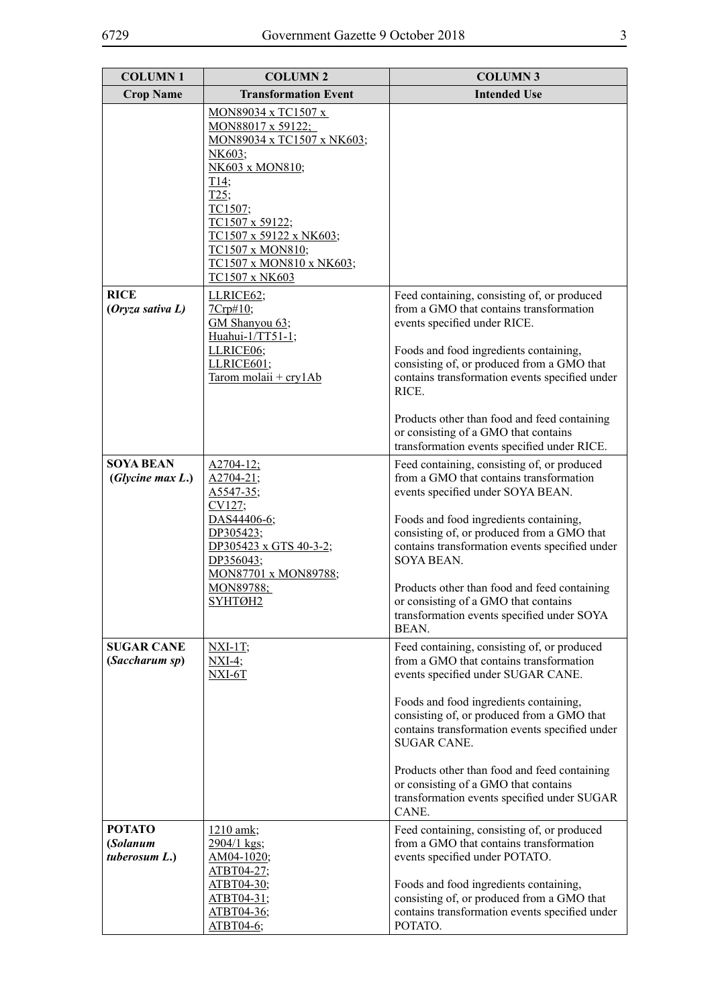| <b>COLUMN1</b>                             | <b>COLUMN 2</b>                                                                                                                                                                                                                                                         | <b>COLUMN3</b>                                                                                                                                                                                                                                                                                                                                                                                                                               |
|--------------------------------------------|-------------------------------------------------------------------------------------------------------------------------------------------------------------------------------------------------------------------------------------------------------------------------|----------------------------------------------------------------------------------------------------------------------------------------------------------------------------------------------------------------------------------------------------------------------------------------------------------------------------------------------------------------------------------------------------------------------------------------------|
| <b>Crop Name</b>                           | <b>Transformation Event</b>                                                                                                                                                                                                                                             | <b>Intended Use</b>                                                                                                                                                                                                                                                                                                                                                                                                                          |
|                                            | MON89034 x TC1507 x<br>MON88017 x 59122;<br>MON89034 x TC1507 x NK603;<br>NK603;<br>NK603 x MON810;<br>$\underline{T14}$ ;<br>$T25$ ;<br>TC1507;<br>TC1507 x 59122;<br>TC1507 x 59122 x NK603;<br>TC1507 x MON810;<br>TC1507 x MON810 x NK603;<br><b>TC1507 x NK603</b> |                                                                                                                                                                                                                                                                                                                                                                                                                                              |
| <b>RICE</b><br>(Oryza sativa L)            | LLRICE62;<br>7Crp#10;<br>GM Shanyou 63;<br>Huahui-1/TT51-1;<br>LLRICE06;<br>LLRICE601;<br>Tarom molaii + cry1Ab                                                                                                                                                         | Feed containing, consisting of, or produced<br>from a GMO that contains transformation<br>events specified under RICE.<br>Foods and food ingredients containing,<br>consisting of, or produced from a GMO that<br>contains transformation events specified under<br>RICE.<br>Products other than food and feed containing<br>or consisting of a GMO that contains<br>transformation events specified under RICE.                             |
| <b>SOYA BEAN</b><br>(Glycine max L.)       | $A2704-12$ ;<br>$A2704-21;$<br>A5547-35;<br>CV127;<br>DAS44406-6;<br>DP305423;<br>DP305423 x GTS 40-3-2;<br>DP356043;<br>MON87701 x MON89788;<br><u>MON89788;</u><br>SYHTØH2                                                                                            | Feed containing, consisting of, or produced<br>from a GMO that contains transformation<br>events specified under SOYA BEAN.<br>Foods and food ingredients containing,<br>consisting of, or produced from a GMO that<br>contains transformation events specified under<br>SOYA BEAN.<br>Products other than food and feed containing<br>or consisting of a GMO that contains<br>transformation events specified under SOYA<br>BEAN.           |
| <b>SUGAR CANE</b><br>(Saccharum sp)        | $\overline{\text{NXI-1T}}$<br>$\overline{\text{NXI-4}}$ ;<br>$NXI-6T$                                                                                                                                                                                                   | Feed containing, consisting of, or produced<br>from a GMO that contains transformation<br>events specified under SUGAR CANE.<br>Foods and food ingredients containing,<br>consisting of, or produced from a GMO that<br>contains transformation events specified under<br><b>SUGAR CANE.</b><br>Products other than food and feed containing<br>or consisting of a GMO that contains<br>transformation events specified under SUGAR<br>CANE. |
| <b>POTATO</b><br>(Solanum<br>tuberosum L.) | 1210 amk;<br>2904/1 kgs;<br>AM04-1020;<br>ATBT04-27;<br>ATBT04-30;<br>ATBT04-31;<br>ATBT04-36;<br>ATBT04-6;                                                                                                                                                             | Feed containing, consisting of, or produced<br>from a GMO that contains transformation<br>events specified under POTATO.<br>Foods and food ingredients containing,<br>consisting of, or produced from a GMO that<br>contains transformation events specified under<br>POTATO.                                                                                                                                                                |